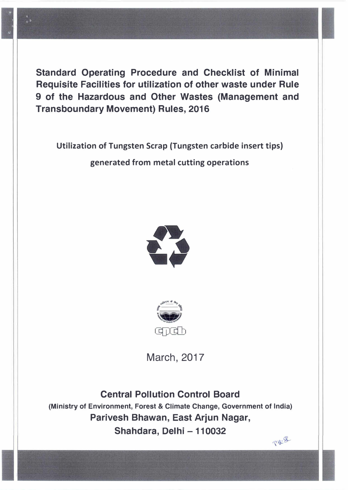

**Standard Operating Procedure and Checklist of Minimal Requisite Facilities for utilization of other waste under Rule 9 of the Hazardous and Other Wastes (Management and Transboundary Movement) Rules, 2016** 

**Utilization of Tungsten Scrap {Tungsten carbide insert tips) generated from metal cutting operations** 





March, 2017

**Central Pollution Control Board (Ministry of Environment, Forest & Climate Change, Government of India) Parivesh Bhawan, East Arjun Nagar, Shahdara, Delhi - 110032** 

PULE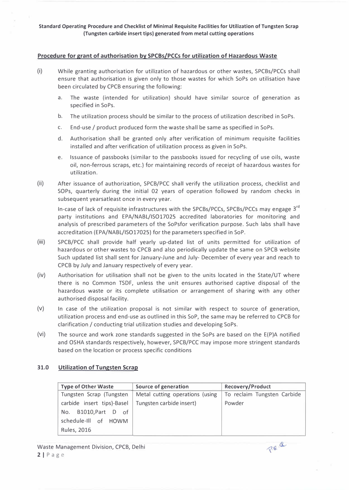### **Procedure for grant of authorisation by SPCBs/PCCs for utilization of Hazardous Waste**

- (i) While granting authorisation for utilization of hazardous or other wastes, SPCBs/PCCs shall ensure that authorisation is given only to those wastes for which SoPs on utilisation have been circulated by CPCB ensuring the following:
	- a. The waste (intended for utilization) should have similar source of generation as specified in SoPs.
	- b. The utilization process should be similar to the process of utilization described in SoPs.
	- c. End-use / product produced form the waste shall be same as specified in SoPs.
	- d. Authorisation shall be granted only after verification of minimum requisite facilities installed and after verification of utilization process as given in SoPs.
	- e. Issuance of passbooks (similar to the passbooks issued for recycling of use oils, waste oil, non-ferrous scraps, etc.) for maintaining records of receipt of hazardous wastes for utilization.
- (ii) After issuance of authorization, SPCB/PCC shall verify the utilization process, checklist and SOPs, quarterly during the initial 02 years of operation followed by random checks in subsequent yearsatleast once in every year.

In-case of lack of requisite infrastructures with the SPCBs/PCCs, SPCBs/PCCs may engage  $3^{\text{ra}}$ party institutions and EPA/NABL/ISO17025 accredited laboratories for monitoring and analysis of prescribed parameters of the SoPsfor verification purpose. Such labs shall have accreditation (EPA/NABL/IS017025) for the parameters specified in SoP.

- (iii) SPCB/PCC shall provide half yearly up-dated list of units permitted for utilization of hazardous or other wastes to CPCB and also periodically update the same on SPCB website Such updated list shall sent for January-June and July- December of every year and reach to CPCB by July and January respectively of every year.
- (iv) Authorisation for utilisation shall not be given to the units located in the State/UT where there is no Common TSDF, unless the unit ensures authorised captive disposal of the hazardous waste or its complete utilisation or arrangement of sharing with any other authorised disposal facility.
- (v) In case of the utilization proposal is not similar with respect to source of generation, utilization process and end-use as outlined in this SoP, the same may be referred to CPCB for clarification / conducting trial utilization studies and developing SoPs.
- (vi) The source and work zone standards suggested in the SoPs are based on the E(P)A notified and OSHA standards respectively, however, SPCB/PCC may impose more stringent standards based on the location or process specific conditions

#### **31.0 Utilization of Tungsten Scrap**

| <b>Type of Other Waste</b> | <b>Source of generation</b>     | Recovery/Product            |
|----------------------------|---------------------------------|-----------------------------|
| Tungsten Scrap (Tungsten   | Metal cutting operations (using | To reclaim Tungsten Carbide |
| carbide insert tips)-Basel | Tungsten carbide insert)        | Powder                      |
| B1010, Part D of<br>No.    |                                 |                             |
| schedule-Ill of HOWM       |                                 |                             |
| <b>Rules, 2016</b>         |                                 |                             |

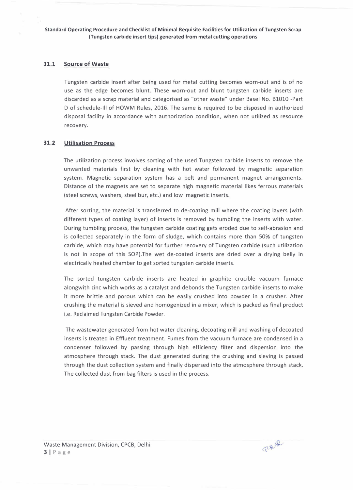#### **31.1 Source of Waste**

**Tungsten carbide insert after being used for metal cutting becomes worn-out and is of no use as the edge becomes blunt. These worn-out and blunt tungsten carbide inserts are discarded as a scrap material and categorised as "other waste" under Basel No. B1010 -Part D of schedule-Ill of HOWM Rules, 2016. The same is required to be disposed in authorized disposal facility in accordance with authorization condition, when not utilized as resource recovery.** 

### **31.2 Utilisation Process**

**The utilization process involves sorting of the used Tungsten carbide inserts to remove the unwanted materials first by cleaning with hot water followed by magnetic separation system. Magnetic separation system has a belt and permanent magnet arrangements. Distance of the magnets are set to separate high magnetic material likes ferrous materials (steel screws, washers, steel bur, etc.) and low magnetic inserts.** 

**After sorting, the material is transferred to de-coating mill where the coating layers (with different types of coating layer) of inserts is removed by tumbling the inserts with water. During tumbling process, the tungsten carbide coating gets eroded due to self-abrasion and is collected separately in the form of sludge, which contains more than 50% of tungsten carbide, which may have potential for further recovery of Tungsten carbide (such utilization is not in scope of this SOP).The wet de-coated inserts are dried over a drying belly in electrically heated chamber to get sorted tungsten carbide inserts.** 

**The sorted tungsten carbide inserts are heated in graphite crucible vacuum furnace alongwith zinc which works as a catalyst and debonds the Tungsten carbide inserts to make it more brittle and porous which can be easily crushed into powder in a crusher. After crushing the material is sieved and homogenized in a mixer, which is packed as final product i.e. Reclaimed Tungsten Carbide Powder.** 

**The wastewater generated from hot water cleaning, decoating mill and washing of decoated inserts is treated in Effluent treatment. Fumes from the vacuum furnace are condensed in a condenser followed by passing through high efficiency filter and dispersion into the atmosphere through stack. The dust generated during the crushing and sieving is passed through the dust collection system and finally dispersed into the atmosphere through stack. The collected dust from bag filters is used in the process.**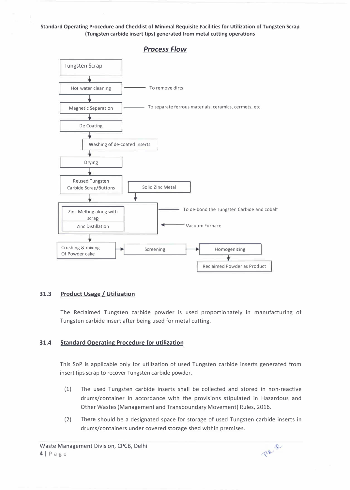# **Tungsten Scrap**  Hot water cleaning  $\Box$  To remove dirts Magnetic Separation  $\Box$  To separate ferrous materials, ceramics, cermets, etc. De Coating ŵ Washing of de-coated inserts Drying Reused Tungsten Solid Zinc Metal Carbide Scrap/Buttons To de-bond the Tungsten Carbide and cobalt Zinc Melting along with scrap Vacuum Furnace Zinc Distillation Crushing & mixing Screening Homogenizing Of Powder cake Reclaimed Powder as Product

## *Process Flow*

#### **31.3 Product Usage / Utilization**

**The Reclaimed Tungsten carbide powder is used proportionately in manufacturing of Tungsten carbide insert after being used for metal cutting.** 

#### **31.4 Standard Operating Procedure for utilization**

**This SoP is applicable only for utilization of used Tungsten carbide inserts generated from insert tips scrap to recover Tungsten carbide powder.** 

- **(1) The used Tungsten carbide inserts shall be collected and stored in non-reactive drums/container in accordance with the provisions stipulated in Hazardous and Other Wastes (Management and Transboundary Movement) Rules, 2016.**
- **(2) There should be a designated space for storage of used Tungsten carbide inserts in drums/containers under covered storage shed within premises.**

Perq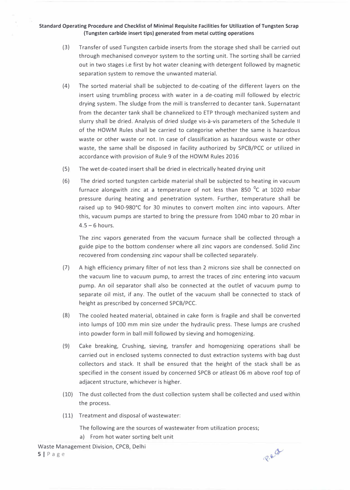- (3) Transfer of used Tungsten carbide inserts from the storage shed shall be carried out through mechanised conveyor system to the sorting unit. The sorting shall be carried out in two stages i.e first by hot water cleaning with detergent followed by magnetic separation system to remove the unwanted material.
- (4) The sorted material shall be subjected to de-coating of the different layers on the insert using trumbling process with water in a de-coating mill followed by electric drying system. The sludge from the mill is transferred to decanter tank. Supernatant from the decanter tank shall be channelized to ETP through mechanized system and slurry shall be dried. Analysis of dried sludge vis-à-vis parameters of the Schedule II of the HOWM Rules shall be carried to categorise whether the same is hazardous waste or other waste or not. In case of classification as hazardous waste or other waste, the same shall be disposed in facility authorized by SPCB/PCC or utilized in accordance with provision of Rule 9 of the HOWM Rules 2016
- (5) The wet de-coated insert shall be dried in electrically heated drying unit
- (6) The dried sorted tungsten carbide material shall be subjected to heating in vacuum furnace alongwith zinc at a temperature of not less than 850  $^{\circ}$ C at 1020 mbar pressure during heating and penetration system. Further, temperature shall be raised up to 940-980° C for 30 minutes to convert molten zinc into vapours. After this, vacuum pumps are started to bring the pressure from 1040 mbar to 20 mbar in  $4.5 - 6$  hours.

The zinc vapors generated from the vacuum furnace shall be collected through a guide pipe to the bottom condenser where all zinc vapors are condensed. Solid Zinc recovered from condensing zinc vapour shall be collected separately.

- (7) A high efficiency primary filter of not less than 2 microns size shall be connected on the vacuum line to vacuum pump, to arrest the traces of zinc entering into vacuum pump. An oil separator shall also be connected at the outlet of vacuum pump to separate oil mist, if any. The outlet of the vacuum shall be connected to stack of height as prescribed by concerned SPCB/PCC.
- (8) The cooled heated material, obtained in cake form is fragile and shall be converted into lumps of 100 mm min size under the hydraulic press. These lumps are crushed into powder form in ball mill followed by sieving and homogenizing.
- (9) Cake breaking, Crushing, sieving, transfer and homogenizing operations shall be carried out in enclosed systems connected to dust extraction systems with bag dust collectors and stack. It shall be ensured that the height of the stack shall be as specified in the consent issued by concerned SPCB or atleast 06 m above roof top of adjacent structure, whichever is higher.
- (10) The dust collected from the dust collection system shall be collected and used within the process.
- (11) Treatment and disposal of wastewater:

The following are the sources of wastewater from utilization process;

a) From hot water sorting belt unit

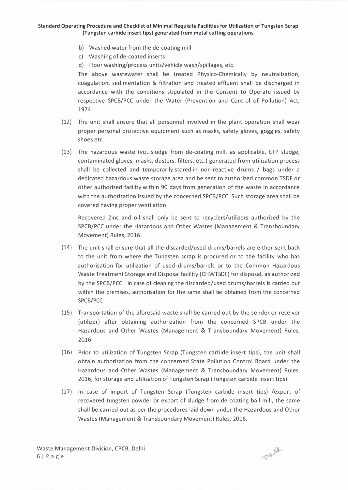- **b) Washed water from the de-coating mill**
- **c) Washing of de-coated inserts**
- **d) Floor washing/process units/vehicle wash/spillages, etc.**

**The above wastewater shall be treated Physico-Chemically by neutralization, coagulation, sedimentation & filtration and treated effluent shall be discharged in accordance with the conditions stipulated in the Consent to Operate issued by respective SPCB/PCC under the Water (Prevention and Control of Pollution) Act, 1974.** 

- **(12) The unit shall ensure that all personnel involved in the plant operation shall wear proper personal protective equipment such as masks, safety gloves, goggles, safety shoes etc.**
- **(13) The hazardous waste (viz. sludge from de-coating mill, as applicable, ETP sludge, contaminated gloves, masks, dusters, filters, etc.) generated from utilization process shall be collected and temporarily stored in non-reactive drums / bags under a dedicated hazardous waste storage area and be sent to authorized common TSDF or other authorized facility within 90 days from generation of the waste in accordance with the authorization issued by the concerned SPCB/PCC. Such storage area shall be covered having proper ventilation.**

**Recovered Zinc and oil shall only be sent to recyclers/utilizers authorized by the SPCB/PCC under the Hazardous and Other Wastes (Management & Transboundary Movement) Rules, 2016.** 

- **(14) The unit shall ensure that all the discarded/used drums/barrels are either sent back to the unit from where the Tungsten scrap is procured or to the facility who has authorisation for utilization of used drums/barrels or to the Common Hazardous Waste Treatment Storage and Disposal facility (CHWTSDF) for disposal, as authorized by the SPCB/PCC. In case of cleaning the discarded/used drums/barrels is carried out within the premises, authorisation for the same shall be obtained from the concerned SPCB/PCC.**
- **(15) Transportation of the aforesaid waste shall be carried out by the sender or receiver (utilizer) after obtaining authorization from the concerned SPCB under the Hazardous and Other Wastes (Management & Transboundary Movement) Rules, 2016.**
- **(16) Prior to utilization of Tungsten Scrap (Tungsten carbide insert tips), the unit shall obtain authorization from the concerned State Pollution Control Board under the Hazardous and Other Wastes (Management & Transboundary Movement) Rules, 2016, for storage and utilisation of Tungsten Scrap (Tungsten carbide insert tips).**
- **(17) In case of import of Tungsten Scrap (Tungsten carbide insert tips) /export of recovered tungsten powder or export of sludge from de-coating ball mill, the same shall be carried out as per the procedures laid down under the Hazardous and Other Wastes (Management & Transboundary Movement) Rules, 2016.**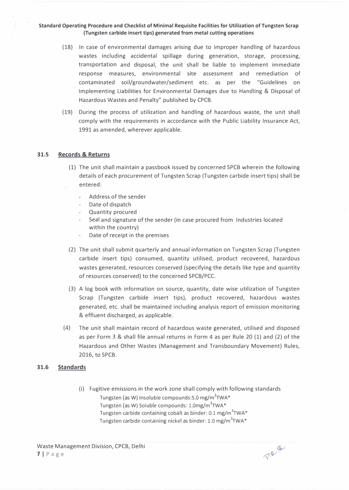- (18) In case of environmental damages arising due to improper handling of hazardous wastes including accidental spillage during generation, storage, processing, transportation and disposal, the unit shall be liable to implement immediate response measures, environmental site assessment and remediation of contaminated soil/groundwater/sediment etc. as per the "Guidelines on Implementing Liabilities for Environmental Damages due to Handling & Disposal of Hazardous Wastes and Penalty" published by CPCB.
- (19) During the process of utilization and handling of hazardous waste, the unit shall comply with the requirements in accordance with the Public Liability Insurance Act, 1991 as amended, wherever applicable.

### **31.5 Records & Returns**

- (1) The unit shall maintain a passbook issued by concerned SPCB wherein the following details of each procurement of Tungsten Scrap (Tungsten carbide insert tips) shall be entered:
	- Address of the sender
	- Date of dispatch
	- Quantity procured
	- Seal and signature of the sender (in case procured from Industries located within the country)
	- Date of receipt in the premises
- (2) The unit shall submit quarterly and annual information on Tungsten Scrap (Tungsten carbide insert tips) consumed, quantity utilised, product recovered, hazardous wastes generated, resources conserved (specifying the details like type and quantity of resources conserved) to the concerned SPCB/PCC.
- (3) A log book with information on source, quantity, date wise utilization of Tungsten Scrap (Tungsten carbide insert tips), product recovered, hazardous wastes generated, etc. shall be maintained including analysis report of emission monitoring & effluent discharged, as applicable.
- (4) The unit shall maintain record of hazardous waste generated, utilised and disposed as per Form 3 & shall file annual returns in Form 4 as per Rule 20 (1) and (2) of the Hazardous and Other Wastes (Management and Transboundary Movement) Rules, 2016, to SPCB.

#### **31.6 Standards**

(i) Fugitive emissions in the work zone shall comply with following standards Tungsten (as W) Insoluble compounds:5.0 mg/m<sup>3</sup>TWA\* Tungsten (as W) Soluble compounds: 1.0mg/m<sup>3</sup>TWA\* Tungsten carbide containing cobalt as binder: 0.1 mg/m<sup>3</sup>TWA\* Tungsten carbide containing nickel as binder: 1.0 mg/m<sup>3</sup>TWA\*

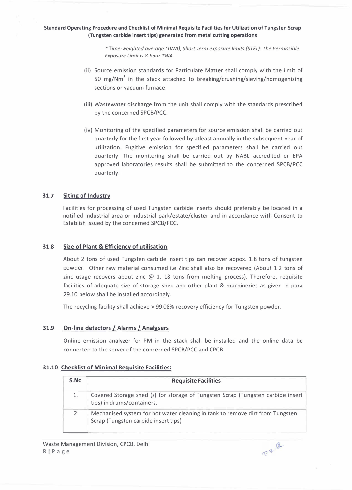*\* Time-weighted average {TWA}, Short-term exposure limits (STEL}. The Permissible Exposure Limit is 8-hour TWA.* 

- (ii) Source emission standards for Particulate Matter shall comply with the limit of 50 mg/Nm**<sup>3</sup>**in the stack attached to breaking/crushing/sieving/homogenizing sections or vacuum furnace.
- (iii) Wastewater discharge from the unit shall comply with the standards prescribed by the concerned SPCB/PCC.
- (iv) Monitoring of the specified parameters for source emission shall be carried out quarterly for the first year followed by atleast annually in the subsequent year of utilization. Fugitive emission for specified parameters shall be carried out quarterly. The monitoring shall be carried out by NABL accredited or EPA approved laboratories results shall be submitted to the concerned SPCB/PCC quarterly.

#### **31.7 Siting of Industry**

Facilities for processing of used Tungsten carbide inserts should preferably be located in a notified industrial area or industrial park/estate/cluster and in accordance with Consent to Establish issued by the concerned SPCB/PCC.

#### **31.8 Size of Plant & Efficiency of utilisation**

About 2 tons of used Tungsten carbide insert tips can recover appox. 1.8 tons of tungsten powder. Other raw material consumed i.e Zinc shall also be recovered (About 1.2 tons of zinc usage recovers about zinc  $\omega$  1. 18 tons from melting process). Therefore, requisite facilities of adequate size of storage shed and other plant & machineries as given in para 29.10 below shall be installed accordingly.

The recycling facility shall achieve > 99.08% recovery efficiency for Tungsten powder.

#### **31.9 On-line detectors** *I* **Alarms / Analysers**

Online emission analyzer for PM in the stack shall be installed and the online data be connected to the server of the concerned SPCB/PCC and CPCB.

#### **31.10 Checklist of Minimal Requisite Facilities:**

| S.No | <b>Requisite Facilities</b>                                                                                           |
|------|-----------------------------------------------------------------------------------------------------------------------|
|      | Covered Storage shed (s) for storage of Tungsten Scrap (Tungsten carbide insert<br>tips) in drums/containers.         |
|      | Mechanised system for hot water cleaning in tank to remove dirt from Tungsten<br>Scrap (Tungsten carbide insert tips) |

P.R. B